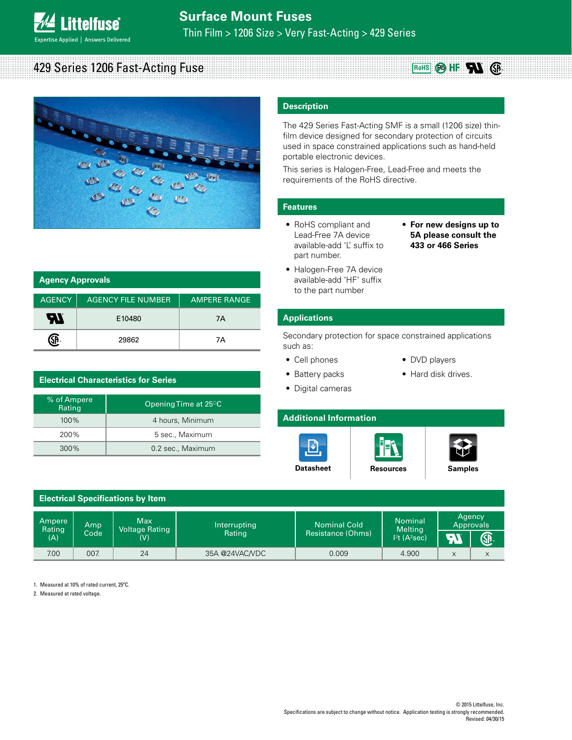**ittelfuse Expertise Applied | Answers Delivered** 

# Thin Film > 1206 Size > Very Fast-Acting > 429 Series

## 429 Series 1206 Fast-Acting Fuse



| <b>Agency Approvals</b> |                           |                     |
|-------------------------|---------------------------|---------------------|
| <b>AGENCY</b>           | <b>AGENCY FILE NUMBER</b> | <b>AMPERE RANGE</b> |
| W                       | E10480                    | 7A                  |
|                         | 29862                     | 7Α                  |

| <b>Electrical Characteristics for Series</b> |                                   |  |
|----------------------------------------------|-----------------------------------|--|
| % of Ampere<br>Rating                        | Opening Time at 25 <sup>o</sup> C |  |
| $100\%$                                      | 4 hours, Minimum                  |  |
| 200%                                         | 5 sec., Maximum                   |  |
| 300%                                         | 0.2 sec., Maximum                 |  |

## **Description**

The 429 Series Fast-Acting SMF is a small (1206 size) thinfilm device designed for secondary protection of circuits used in space constrained applications such as hand-held portable electronic devices.

This series is Halogen-Free, Lead-Free and meets the requirements of the RoHS directive.

### **Features**

- RoHS compliant and Lead-Free 7A device available-add 'L' suffix to part number.
- **For new designs up to 5A please consult the 433 or 466 Series**

**RoHS @HF RG** 

• Halogen-Free 7A device available-add 'HF' suffix to the part number

#### **Applications**

Secondary protection for space constrained applications such as:

- Cell phones
- Battery packs
- DVD players
- Hard disk drives.
- Digital cameras
- **Additional Information**







|                         |             | <b>Electrical Specifications by Item</b>       |                        |                                          |                                                       |                                        |    |
|-------------------------|-------------|------------------------------------------------|------------------------|------------------------------------------|-------------------------------------------------------|----------------------------------------|----|
| Ampere<br>Rating<br>(A) | Amp<br>Code | <b>Max</b><br>Voltage Rating<br>$(\mathsf{V})$ | Interrupting<br>Rating | <b>Nominal Cold</b><br>Resistance (Ohms) | <b>Nominal</b><br><b>Melting</b><br>$12t$ (A $2sec$ ) | Agency<br>Approvals<br>$\rightarrow V$ | ®. |
| 7.00                    | 007.        | 24                                             | 35A @24VAC/VDC         | 0.009                                    | 4.900                                                 | X                                      | X  |

1. Measured at 10% of rated current, 25ºC.

2. Measured at rated voltage.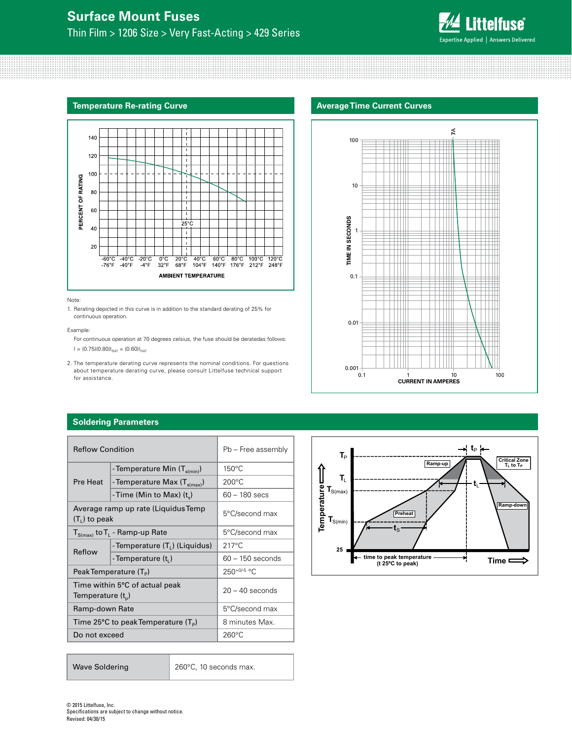

#### **Temperature Re-rating Curve**



#### Note:

1. Rerating depicted in this curve is in addition to the standard derating of 25% for continuous operation.

#### Example:

For continuous operation at 70 degrees celsius, the fuse should be deratedas follows:  $I = (0.75)(0.80)I_{\text{RAT}} = (0.60)I_{\text{RAT}}$ 

2. The temperature derating curve represents the nominal conditions. For questions about temperature derating curve, please consult Littelfuse technical support for assistance.

#### **Soldering Parameters**

| <b>Reflow Condition</b> |                                                           | Pb - Free assembly |
|-------------------------|-----------------------------------------------------------|--------------------|
|                         | - Temperature Min $(T_{s(min)})$                          | 150°C              |
| Pre Heat                | - Temperature Max $(T_{s(max)})$                          | $200^{\circ}$ C    |
|                         | - Time (Min to Max) $(t_s)$                               | $60 - 180$ secs    |
| $(T1)$ to peak          | Average ramp up rate (Liquidus Temp                       | 5°C/second max     |
|                         | $T_{S(max)}$ to $T_L$ - Ramp-up Rate                      | 5°C/second max     |
| Reflow                  | -Temperature (T <sub>1</sub> ) (Liquidus)                 | $217^{\circ}$ C    |
|                         | -Temperature $(ti)$                                       | $60 - 150$ seconds |
|                         | PeakTemperature (T <sub>p</sub> )                         | 250+0/-5 °C        |
| Temperature $(t_n)$     | Time within 5°C of actual peak                            | $20 - 40$ seconds  |
| Ramp-down Rate          |                                                           | 5°C/second max     |
|                         | Time 25 $\degree$ C to peak Temperature (T <sub>p</sub> ) | 8 minutes Max.     |
| Do not exceed           |                                                           | $260^{\circ}$ C    |

| <b>Wave Soldering</b> | 260°C, 10 seconds max. |
|-----------------------|------------------------|
|                       |                        |

# **Average Time Current Curves**